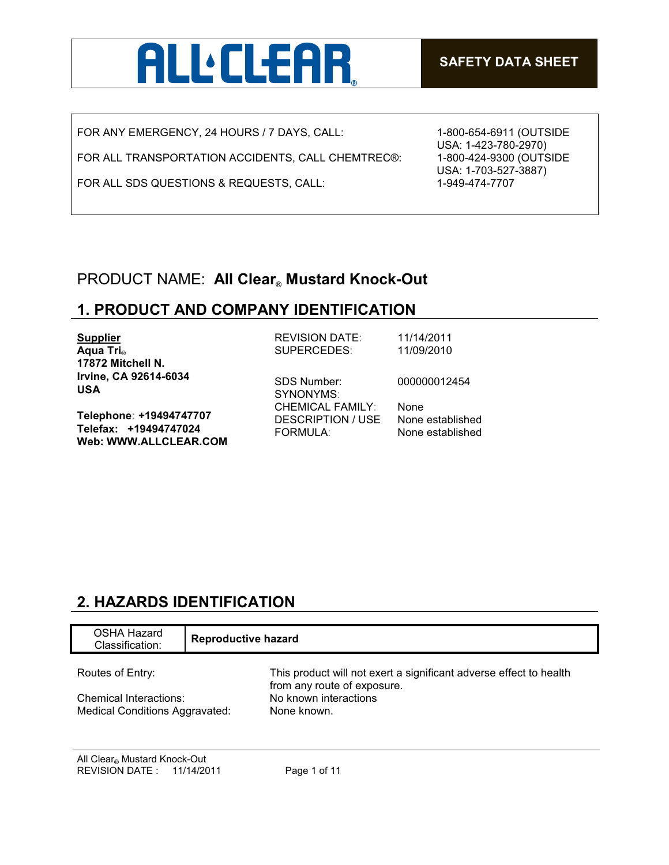

FOR ANY EMERGENCY, 24 HOURS / 7 DAYS, CALL:

FOR ALL TRANSPORTATION ACCIDENTS, CALL CHEMTREC®:

FOR ALL SDS QUESTIONS & REQUESTS, CALL:

1-800-654-6911 (OUTSIDE USA: 1-423-780-2970) 1-800-424-9300 (OUTSIDE USA: 1-703-527-3887) 1-949-474-7707

## PRODUCT NAME: **All Clear**® **Mustard Knock-Out**

## **1. PRODUCT AND COMPANY IDENTIFICATION**

| <b>Supplier</b>                                | <b>REVISION DATE:</b>                        | 11/14/2011               |
|------------------------------------------------|----------------------------------------------|--------------------------|
| Aqua Tri <sub>®</sub>                          | SUPERCEDES:                                  | 11/09/2010               |
| 17872 Mitchell N.                              |                                              |                          |
| Irvine, CA 92614-6034<br><b>USA</b>            | <b>SDS Number:</b><br>SYNONYMS:              | 000000012454             |
| Telephone: +19494747707                        | <b>CHEMICAL FAMILY:</b><br>DESCRIPTION / USE | None<br>None established |
| Telefax: +19494747024<br>Web: WWW.ALLCLEAR.COM | <b>FORMULA:</b>                              | None established         |

# **2. HAZARDS IDENTIFICATION**

| <b>OSHA Hazard</b><br>Classification:                           | <b>Reproductive hazard</b>                                                                        |  |
|-----------------------------------------------------------------|---------------------------------------------------------------------------------------------------|--|
| Routes of Entry:                                                | This product will not exert a significant adverse effect to health<br>from any route of exposure. |  |
| Chemical Interactions:<br><b>Medical Conditions Aggravated:</b> | No known interactions<br>None known.                                                              |  |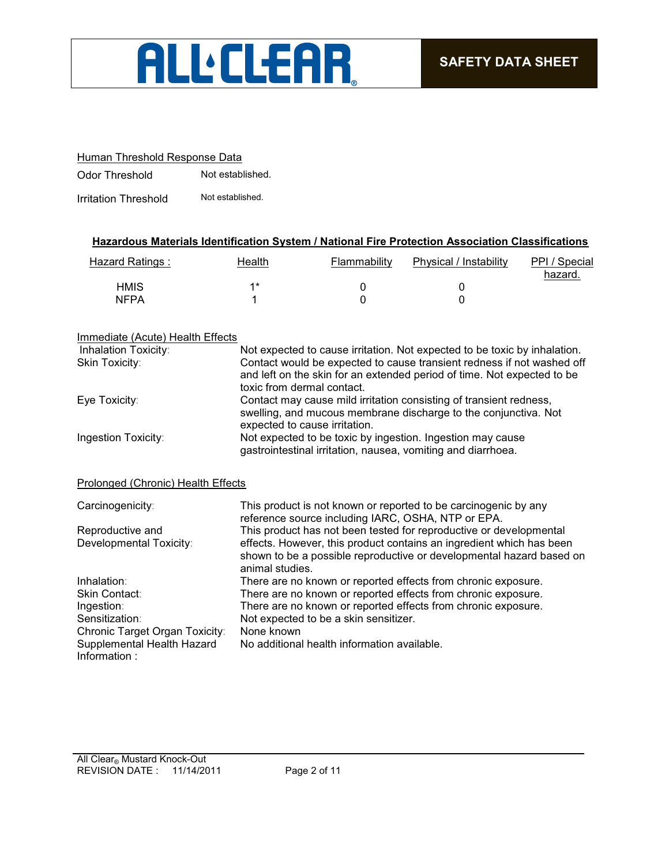# **ALLELEAR**

### Human Threshold Response Data

Odor Threshold Not established.

Irritation Threshold Not established.

### **Hazardous Materials Identification System / National Fire Protection Association Classifications**

| Hazard Ratings : | Health | Flammability | Physical / Instability | PPI / Special<br>hazard. |
|------------------|--------|--------------|------------------------|--------------------------|
| <b>HMIS</b>      | 4*     |              |                        |                          |
| <b>NFPA</b>      |        |              |                        |                          |

### Immediate (Acute) Health Effects

| Inhalation Toxicity:                       | Not expected to cause irritation. Not expected to be toxic by inhalation.                                                                                                       |
|--------------------------------------------|---------------------------------------------------------------------------------------------------------------------------------------------------------------------------------|
| Skin Toxicity:                             | Contact would be expected to cause transient redness if not washed off<br>and left on the skin for an extended period of time. Not expected to be<br>toxic from dermal contact. |
| Eye Toxicity:                              | Contact may cause mild irritation consisting of transient redness,<br>swelling, and mucous membrane discharge to the conjunctiva. Not<br>expected to cause irritation.          |
| Ingestion Toxicity:                        | Not expected to be toxic by ingestion. Ingestion may cause<br>gastrointestinal irritation, nausea, vomiting and diarrhoea.                                                      |
| Prolonged (Chronic) Health Effects         |                                                                                                                                                                                 |
| Carcinogenicity:                           | This product is not known or reported to be carcinogenic by any<br>reference source including IARC, OSHA, NTP or EPA.                                                           |
| Reproductive and                           | This product has not been tested for reproductive or developmental                                                                                                              |
| Developmental Toxicity:                    | effects. However, this product contains an ingredient which has been<br>shown to be a possible reproductive or developmental hazard based on<br>animal studies.                 |
| Inhalation:                                | There are no known or reported effects from chronic exposure.                                                                                                                   |
| Skin Contact:                              | There are no known or reported effects from chronic exposure.                                                                                                                   |
| Ingestion:                                 | There are no known or reported effects from chronic exposure.                                                                                                                   |
| Sensitization:                             | Not expected to be a skin sensitizer.                                                                                                                                           |
| Chronic Target Organ Toxicity:             | None known                                                                                                                                                                      |
| Supplemental Health Hazard<br>Information: | No additional health information available.                                                                                                                                     |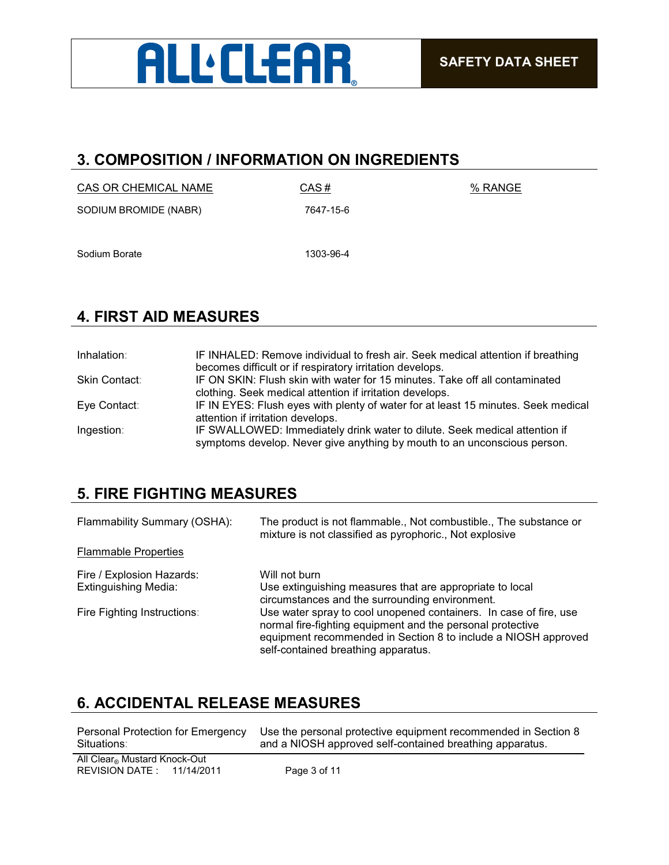

## **3. COMPOSITION / INFORMATION ON INGREDIENTS**

| CAS OR CHEMICAL NAME  | CAS#      | % RANGE |
|-----------------------|-----------|---------|
| SODIUM BROMIDE (NABR) | 7647-15-6 |         |

Sodium Borate 1303-96-4

# **4. FIRST AID MEASURES**

| Inhalation:   | IF INHALED: Remove individual to fresh air. Seek medical attention if breathing                                                                        |
|---------------|--------------------------------------------------------------------------------------------------------------------------------------------------------|
| Skin Contact: | becomes difficult or if respiratory irritation develops.<br>IF ON SKIN: Flush skin with water for 15 minutes. Take off all contaminated                |
|               | clothing. Seek medical attention if irritation develops.                                                                                               |
| Eye Contact:  | IF IN EYES: Flush eyes with plenty of water for at least 15 minutes. Seek medical<br>attention if irritation develops.                                 |
| Ingestion:    | IF SWALLOWED: Immediately drink water to dilute. Seek medical attention if<br>symptoms develop. Never give anything by mouth to an unconscious person. |

## **5. FIRE FIGHTING MEASURES**

| Flammability Summary (OSHA): | The product is not flammable., Not combustible., The substance or<br>mixture is not classified as pyrophoric., Not explosive                                                                                                             |
|------------------------------|------------------------------------------------------------------------------------------------------------------------------------------------------------------------------------------------------------------------------------------|
| <b>Flammable Properties</b>  |                                                                                                                                                                                                                                          |
| Fire / Explosion Hazards:    | Will not burn                                                                                                                                                                                                                            |
| <b>Extinguishing Media:</b>  | Use extinguishing measures that are appropriate to local<br>circumstances and the surrounding environment.                                                                                                                               |
| Fire Fighting Instructions:  | Use water spray to cool unopened containers. In case of fire, use<br>normal fire-fighting equipment and the personal protective<br>equipment recommended in Section 8 to include a NIOSH approved<br>self-contained breathing apparatus. |

# **6. ACCIDENTAL RELEASE MEASURES**

| Personal Protection for Emergency                                       | Use the personal protective equipment recommended in Section 8 |
|-------------------------------------------------------------------------|----------------------------------------------------------------|
| Situations:                                                             | and a NIOSH approved self-contained breathing apparatus.       |
| All Clear <sup>®</sup> Mustard Knock-Out<br>REVISION DATE: $11/14/2011$ | Page 3 of 11                                                   |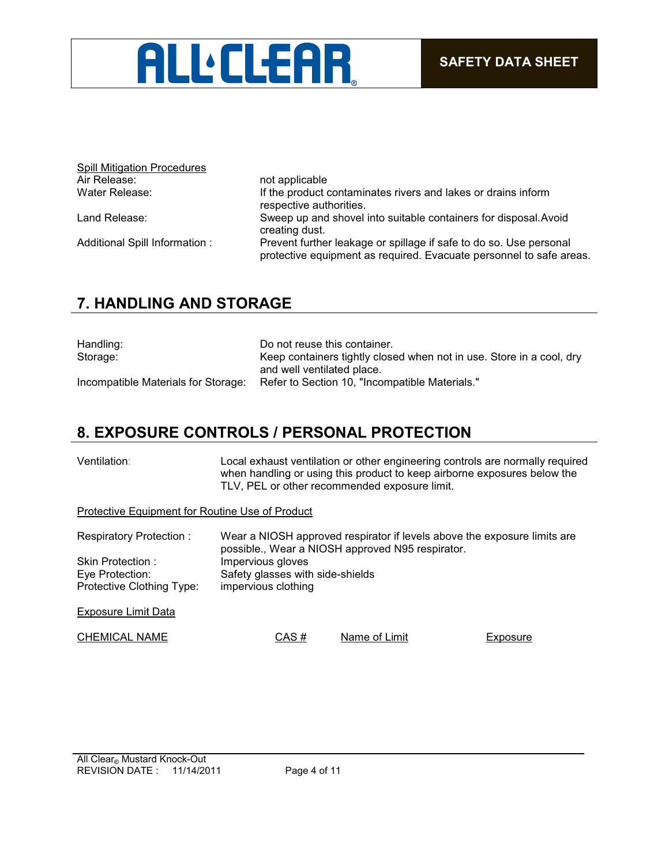

| <b>Spill Mitigation Procedures</b> |                                                                                                                                           |
|------------------------------------|-------------------------------------------------------------------------------------------------------------------------------------------|
| Air Release:                       | not applicable                                                                                                                            |
| Water Release:                     | If the product contaminates rivers and lakes or drains inform<br>respective authorities.                                                  |
| Land Release:                      | Sweep up and shovel into suitable containers for disposal. Avoid<br>creating dust.                                                        |
| Additional Spill Information :     | Prevent further leakage or spillage if safe to do so. Use personal<br>protective equipment as required. Evacuate personnel to safe areas. |

## **7. HANDLING AND STORAGE**

| Handling:                           | Do not reuse this container.                                         |
|-------------------------------------|----------------------------------------------------------------------|
| Storage:                            | Keep containers tightly closed when not in use. Store in a cool, dry |
|                                     | and well ventilated place.                                           |
| Incompatible Materials for Storage: | Refer to Section 10, "Incompatible Materials."                       |

## **8. EXPOSURE CONTROLS / PERSONAL PROTECTION**

| Ventilation: | Local exhaust ventilation or other engineering controls are normally required |
|--------------|-------------------------------------------------------------------------------|
|              | when handling or using this product to keep airborne exposures below the      |
|              | TLV, PEL or other recommended exposure limit.                                 |
|              |                                                                               |

Protective Equipment for Routine Use of Product

| Respiratory Protection:   | Wear a NIOSH approved respirator if levels above the exposure limits are<br>possible., Wear a NIOSH approved N95 respirator. |
|---------------------------|------------------------------------------------------------------------------------------------------------------------------|
| Skin Protection :         | Impervious gloves                                                                                                            |
| Eye Protection:           | Safety glasses with side-shields                                                                                             |
| Protective Clothing Type: | impervious clothing                                                                                                          |
|                           |                                                                                                                              |

Exposure Limit Data

CHEMICAL NAME CAS # Name of Limit Exposure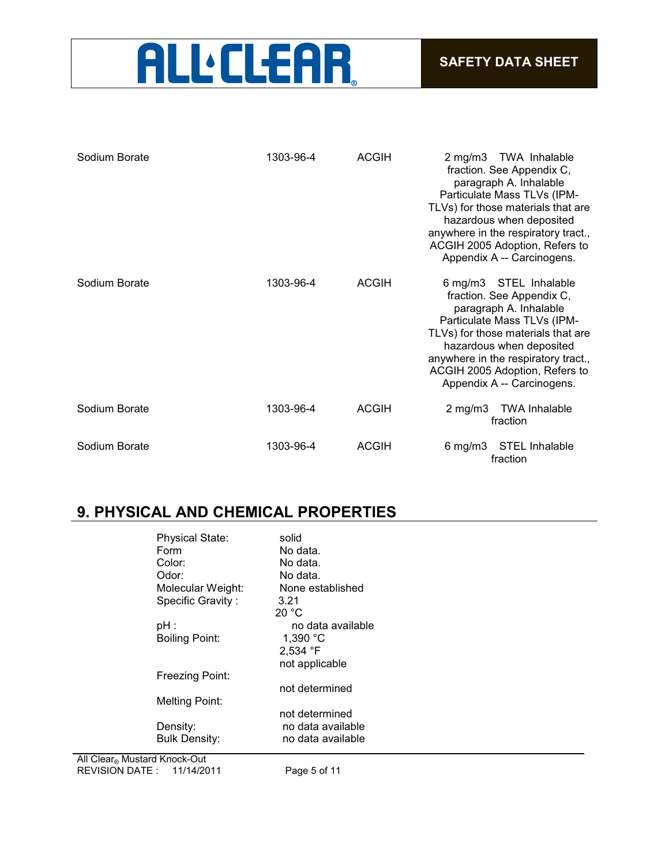# **ALL.CLEAR**

| Sodium Borate | 1303-96-4 | <b>ACGIH</b> | 2 mg/m3 TWA Inhalable<br>fraction. See Appendix C,<br>paragraph A. Inhalable<br>Particulate Mass TLVs (IPM-<br>TLVs) for those materials that are<br>hazardous when deposited<br>anywhere in the respiratory tract.,<br>ACGIH 2005 Adoption, Refers to<br>Appendix A -- Carcinogens.  |
|---------------|-----------|--------------|---------------------------------------------------------------------------------------------------------------------------------------------------------------------------------------------------------------------------------------------------------------------------------------|
| Sodium Borate | 1303-96-4 | <b>ACGIH</b> | 6 mg/m3 STEL Inhalable<br>fraction. See Appendix C,<br>paragraph A. Inhalable<br>Particulate Mass TLVs (IPM-<br>TLVs) for those materials that are<br>hazardous when deposited<br>anywhere in the respiratory tract.,<br>ACGIH 2005 Adoption, Refers to<br>Appendix A -- Carcinogens. |
| Sodium Borate | 1303-96-4 | <b>ACGIH</b> | $2 \text{ mg/m}$ 3<br><b>TWA Inhalable</b><br>fraction                                                                                                                                                                                                                                |
| Sodium Borate | 1303-96-4 | <b>ACGIH</b> | $6$ mg/m $3$<br><b>STEL Inhalable</b><br>fraction                                                                                                                                                                                                                                     |

# **9. PHYSICAL AND CHEMICAL PROPERTIES**

| <b>Physical State:</b> | solid              |
|------------------------|--------------------|
| Form                   | No data.           |
| Color:                 | No data.           |
| Odor:                  | No data.           |
| Molecular Weight:      | None established   |
| Specific Gravity:      | 3.21               |
|                        | 20 °C              |
| $pH$ :                 | no data available  |
| <b>Boiling Point:</b>  | 1,390 $^{\circ}$ C |
|                        | $2,534$ °F         |
|                        | not applicable     |
| Freezing Point:        |                    |
|                        | not determined     |
| <b>Melting Point:</b>  |                    |
|                        | not determined     |
| Density:               | no data available  |
| <b>Bulk Density:</b>   | no data available  |
|                        |                    |

REVISION DATE : 11/14/2011 Page 5 of 11 All Clear® Mustard Knock-Out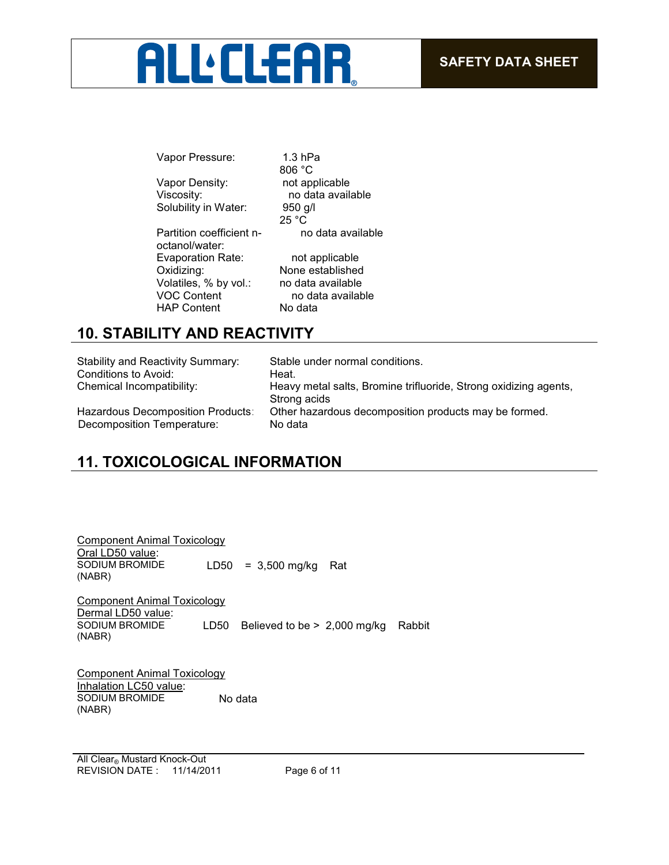# **ALL:CLEAR**

Vapor Pressure: 1.3 hPa 806 °C<br>not applicable Vapor Density: Viscosity: no data available Solubility in Water: 950 g/l 25 °C Partition coefficient noctanol/water: no data available Evaporation Rate: not applicable<br>Oxidizing: None established None established Volatiles, % by vol.: no data available<br>VOC Content no data availab no data available HAP Content No data

# **10. STABILITY AND REACTIVITY**

| <b>Stability and Reactivity Summary:</b> | Stable under normal conditions.                                                  |
|------------------------------------------|----------------------------------------------------------------------------------|
| Conditions to Avoid:                     | Heat.                                                                            |
| Chemical Incompatibility:                | Heavy metal salts, Bromine trifluoride, Strong oxidizing agents,<br>Strong acids |
| Hazardous Decomposition Products:        | Other hazardous decomposition products may be formed.                            |
| Decomposition Temperature:               | No data                                                                          |

# **11. TOXICOLOGICAL INFORMATION**

| <b>Component Animal Toxicology</b>                       |      |                                       |  |
|----------------------------------------------------------|------|---------------------------------------|--|
| Oral LD50 value:                                         |      |                                       |  |
| SODIUM BROMIDE<br>(NABR)                                 |      | LD50 = $3,500$ mg/kg Rat              |  |
| <b>Component Animal Toxicology</b><br>Dermal LD50 value: |      |                                       |  |
| SODIUM BROMIDE<br>(NABR)                                 | LD50 | Believed to be $> 2,000$ mg/kg Rabbit |  |
|                                                          |      |                                       |  |

Component Animal Toxicology Inhalation LC50 value: SODIUM BROMIDE (NABR) No data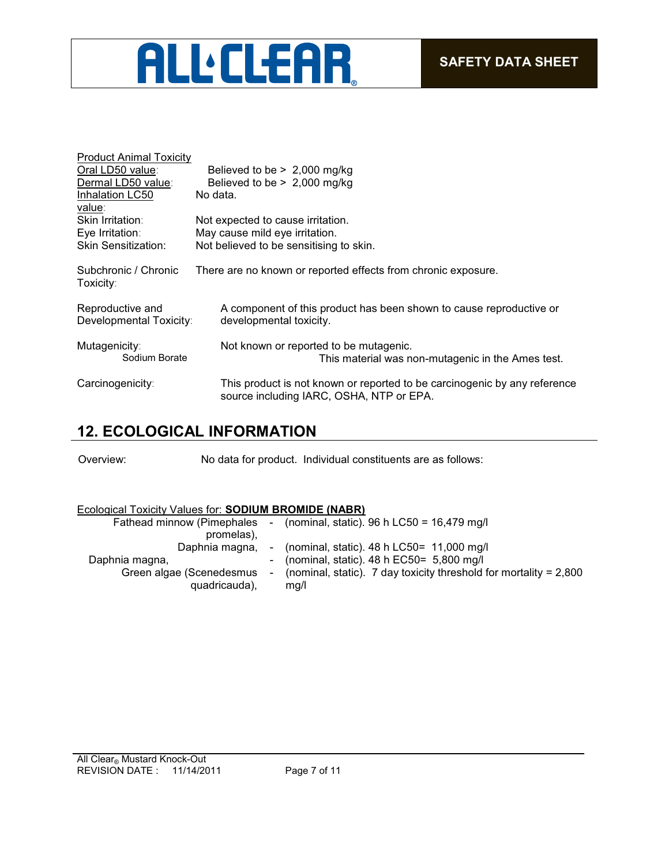

| <b>Product Animal Toxicity</b><br>Oral LD50 value:<br>Dermal LD50 value:<br>Inhalation LC50 | Believed to be $> 2,000$ mg/kg<br>Believed to be $> 2,000$ mg/kg<br>No data.                                          |
|---------------------------------------------------------------------------------------------|-----------------------------------------------------------------------------------------------------------------------|
| value:<br>Skin Irritation:<br>Eye Irritation:<br><b>Skin Sensitization:</b>                 | Not expected to cause irritation.<br>May cause mild eye irritation.<br>Not believed to be sensitising to skin.        |
| Subchronic / Chronic<br>Toxicity:                                                           | There are no known or reported effects from chronic exposure.                                                         |
| Reproductive and<br>Developmental Toxicity:                                                 | A component of this product has been shown to cause reproductive or<br>developmental toxicity.                        |
| Mutagenicity:<br>Sodium Borate                                                              | Not known or reported to be mutagenic.<br>This material was non-mutagenic in the Ames test.                           |
| Carcinogenicity:                                                                            | This product is not known or reported to be carcinogenic by any reference<br>source including IARC, OSHA, NTP or EPA. |

## **12. ECOLOGICAL INFORMATION**

Overview: No data for product. Individual constituents are as follows:

### Ecological Toxicity Values for: **SODIUM BROMIDE (NABR)**

| Fathead minnow (Pimephales | $\sim$ 100 $\mu$         | (nominal, static). 96 h LC50 = $16,479$ mg/l                        |
|----------------------------|--------------------------|---------------------------------------------------------------------|
| promelas),                 |                          |                                                                     |
| Daphnia magna,             |                          | - (nominal, static). $48 h$ LC50= 11,000 mg/l                       |
| Daphnia magna,             |                          | - (nominal, static). $48 h$ EC50= 5,800 mg/l                        |
| Green algae (Scenedesmus   | $\overline{\phantom{a}}$ | (nominal, static). 7 day toxicity threshold for mortality = $2,800$ |
| quadricauda),              |                          | mg/l                                                                |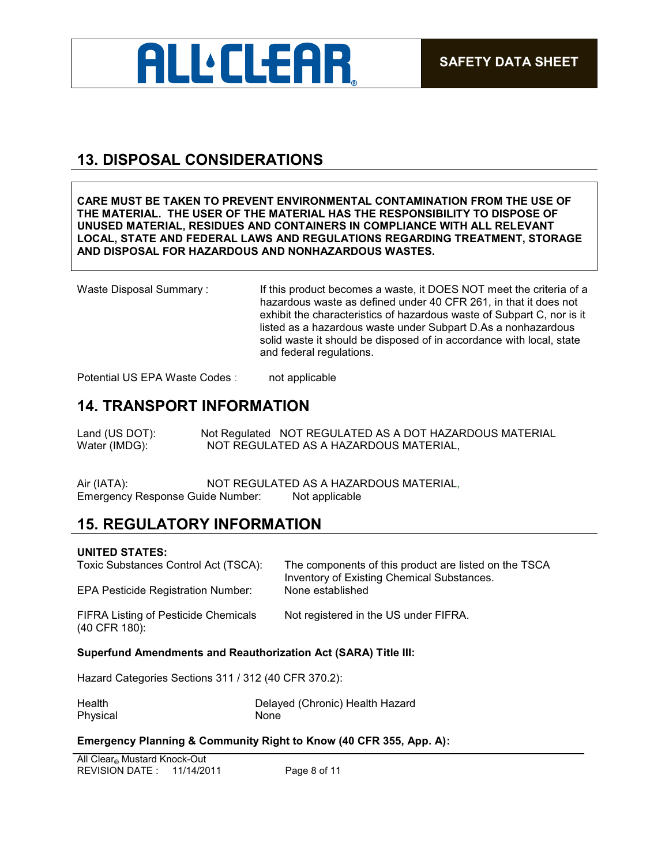

# **13. DISPOSAL CONSIDERATIONS**

**CARE MUST BE TAKEN TO PREVENT ENVIRONMENTAL CONTAMINATION FROM THE USE OF THE MATERIAL. THE USER OF THE MATERIAL HAS THE RESPONSIBILITY TO DISPOSE OF UNUSED MATERIAL, RESIDUES AND CONTAINERS IN COMPLIANCE WITH ALL RELEVANT LOCAL, STATE AND FEDERAL LAWS AND REGULATIONS REGARDING TREATMENT, STORAGE AND DISPOSAL FOR HAZARDOUS AND NONHAZARDOUS WASTES.** 

Waste Disposal Summary: If this product becomes a waste, it DOES NOT meet the criteria of a hazardous waste as defined under 40 CFR 261, in that it does not exhibit the characteristics of hazardous waste of Subpart C, nor is it listed as a hazardous waste under Subpart D.As a nonhazardous solid waste it should be disposed of in accordance with local, state and federal regulations.

Potential US EPA Waste Codes : not applicable

## **14. TRANSPORT INFORMATION**

Land (US DOT): Not Regulated NOT REGULATED AS A DOT HAZARDOUS MATERIAL Water (IMDG): NOT REGULATED AS A HAZARDOUS MATERIAL,

Air (IATA): NOT REGULATED AS A HAZARDOUS MATERIAL, Emergency Response Guide Number: Not applicable

### **15. REGULATORY INFORMATION**

#### **UNITED STATES:**

| Toxic Substances Control Act (TSCA):                                  | The components of this product are listed on the TSCA<br><b>Inventory of Existing Chemical Substances.</b> |
|-----------------------------------------------------------------------|------------------------------------------------------------------------------------------------------------|
| <b>EPA Pesticide Registration Number:</b>                             | None established                                                                                           |
| <b>FIFRA Listing of Pesticide Chemicals</b><br>(40 CFR 180):          | Not registered in the US under FIFRA.                                                                      |
| <b>Superfund Amendments and Reauthorization Act (SARA) Title III:</b> |                                                                                                            |
| Hazard Categories Sections 311 / 312 $(40 \text{ CFR}$ 370 $2)$       |                                                                                                            |

Hazard Categories Sections 311 / 312 (40 CFR 370.2):

| Health   | Delayed (Chronic) Health Hazard |
|----------|---------------------------------|
| Physical | None                            |

### **Emergency Planning & Community Right to Know (40 CFR 355, App. A):**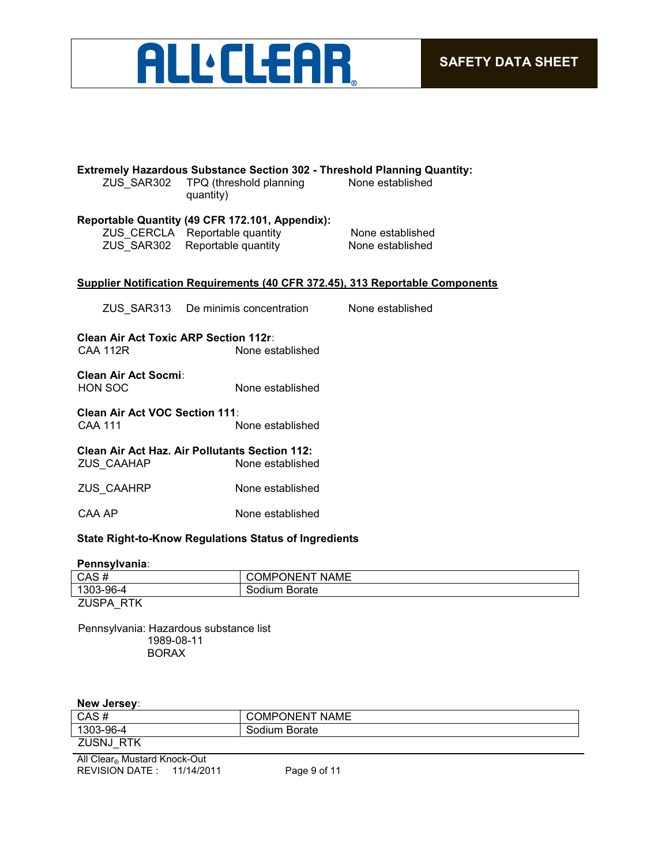

| <b>Extremely Hazardous Substance Section 302 - Threshold Planning Quantity:</b><br>ZUS SAR302<br>TPQ (threshold planning<br>None established<br>quantity) |                                                                                                                     |                                      |  |  |
|-----------------------------------------------------------------------------------------------------------------------------------------------------------|---------------------------------------------------------------------------------------------------------------------|--------------------------------------|--|--|
|                                                                                                                                                           | Reportable Quantity (49 CFR 172.101, Appendix):<br>ZUS CERCLA Reportable quantity<br>ZUS SAR302 Reportable quantity | None established<br>None established |  |  |
|                                                                                                                                                           | Supplier Notification Requirements (40 CFR 372.45), 313 Reportable Components                                       |                                      |  |  |
|                                                                                                                                                           | ZUS SAR313 De minimis concentration                                                                                 | None established                     |  |  |
| <b>Clean Air Act Toxic ARP Section 112r:</b><br><b>CAA 112R</b>                                                                                           | None established                                                                                                    |                                      |  |  |
| <b>Clean Air Act Socmi:</b><br><b>HON SOC</b>                                                                                                             | None established                                                                                                    |                                      |  |  |
| <b>Clean Air Act VOC Section 111:</b><br><b>CAA 111</b><br>None established                                                                               |                                                                                                                     |                                      |  |  |
| ZUS CAAHAP                                                                                                                                                | <b>Clean Air Act Haz. Air Pollutants Section 112:</b><br>None established                                           |                                      |  |  |
| ZUS CAAHRP                                                                                                                                                | None established                                                                                                    |                                      |  |  |
| CAA AP                                                                                                                                                    | None established                                                                                                    |                                      |  |  |
| <b>State Right-to-Know Regulations Status of Ingredients</b>                                                                                              |                                                                                                                     |                                      |  |  |

#### **Pennsylvania:**

| CAS#              | <b>COMPONENT NAME</b> |
|-------------------|-----------------------|
| 1303-96-4         | Sodium Borate         |
| ZUSPA<br>RTK<br>_ |                       |

Pennsylvania: Hazardous substance list 1989-08-11 BORAX

### **New Jersey:**

| CAS#                         | <b>COMPONENT NAME</b> |
|------------------------------|-----------------------|
| 1303-96-4                    | Sodium Borate         |
| ZUSNJ RTK                    |                       |
| All Clear® Mustard Knock-Out |                       |
| REVISION DATE: 11/14/2011    | Page 9 of 11          |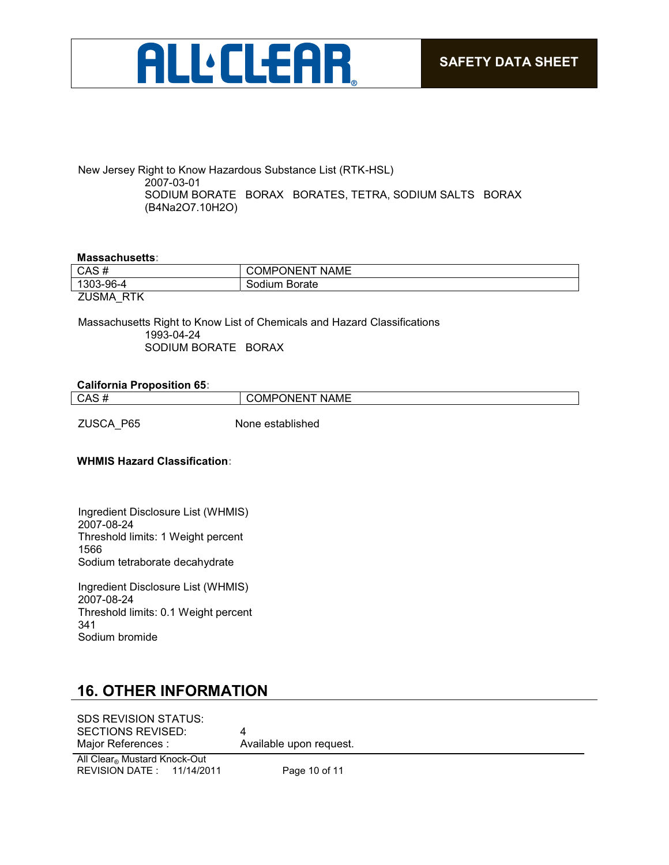

New Jersey Right to Know Hazardous Substance List (RTK-HSL) 2007-03-01 SODIUM BORATE BORAX BORATES, TETRA, SODIUM SALTS BORAX (B4Na2O7.10H2O)

#### **Massachusetts:**

| CAS#                       | <b>COMPONENT NAME</b> |
|----------------------------|-----------------------|
| 1303-96-4                  | Sodium Borate         |
| <b>ZUSMA</b><br><b>RTK</b> |                       |

Massachusetts Right to Know List of Chemicals and Hazard Classifications 1993-04-24 SODIUM BORATE BORAX

| <b>California Proposition 65:</b> |                       |
|-----------------------------------|-----------------------|
| CAS#                              | <b>COMPONENT NAME</b> |
| ZUSCA P65                         | None established      |

**WHMIS Hazard Classification:**

Ingredient Disclosure List (WHMIS) 2007-08-24 Threshold limits: 1 Weight percent 1566 Sodium tetraborate decahydrate

Ingredient Disclosure List (WHMIS) 2007-08-24 Threshold limits: 0.1 Weight percent 341 Sodium bromide

## **16. OTHER INFORMATION**

SDS REVISION STATUS: SECTIONS REVISED: 4 Major References : Available upon request.

REVISION DATE : 11/14/2011 Page 10 of 11 All Clear® Mustard Knock-Out